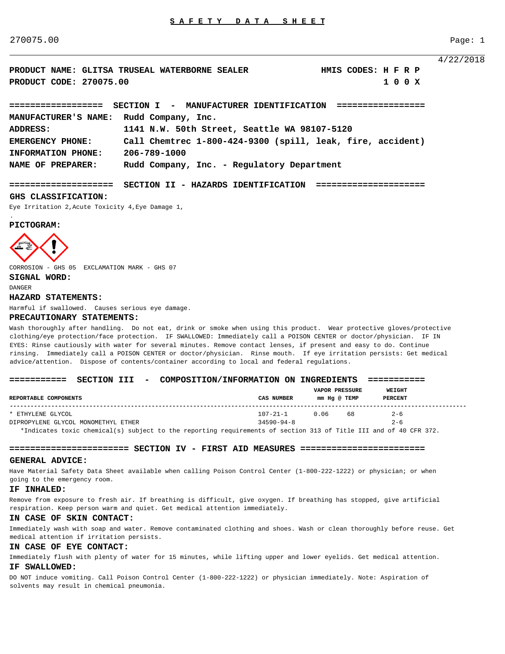270075.00 Page: 1

4/22/2018

**PRODUCT NAME: GLITSA TRUSEAL WATERBORNE SEALER HMIS CODES: H F R P PRODUCT CODE: 270075.00 1 0 0 X ================== SECTION I - MANUFACTURER IDENTIFICATION ================= MANUFACTURER'S NAME: Rudd Company, Inc. ADDRESS: 1141 N.W. 50th Street, Seattle WA 98107-5120 EMERGENCY PHONE: Call Chemtrec 1-800-424-9300 (spill, leak, fire, accident) INFORMATION PHONE: 206-789-1000**

**NAME OF PREPARER: Rudd Company, Inc. - Regulatory Department**

**==================== SECTION II - HAZARDS IDENTIFICATION =====================** 

#### **GHS CLASSIFICATION:**

Eye Irritation 2,Acute Toxicity 4,Eye Damage 1,

#### **PICTOGRAM:**



CORROSION - GHS 05 EXCLAMATION MARK - GHS 07

# **SIGNAL WORD:**

DANGER

.

#### **HAZARD STATEMENTS:**

Harmful if swallowed. Causes serious eye damage.

#### **PRECAUTIONARY STATEMENTS:**

Wash thoroughly after handling. Do not eat, drink or smoke when using this product. Wear protective gloves/protective clothing/eye protection/face protection. IF SWALLOWED: Immediately call a POISON CENTER or doctor/physician. IF IN EYES: Rinse cautiously with water for several minutes. Remove contact lenses, if present and easy to do. Continue rinsing. Immediately call a POISON CENTER or doctor/physician. Rinse mouth. If eye irritation persists: Get medical advice/attention. Dispose of contents/container according to local and federal regulations.

## **=========== SECTION III - COMPOSITION/INFORMATION ON INGREDIENTS ===========**

| REPORTABLE COMPONENTS               | CAS NUMBER                                                                       | <b>VAPOR PRESSURE</b><br>mm Ha @ TEMP |    | WEIGHT<br><b>PERCENT</b> |  |
|-------------------------------------|----------------------------------------------------------------------------------|---------------------------------------|----|--------------------------|--|
| * ETHYLENE GLYCOL                   | $107 - 21 - 1$                                                                   | 0.06                                  | 68 | $2 - 6$                  |  |
| DIPROPYLENE GLYCOL MONOMETHYL ETHER | $34590 - 94 - 8$                                                                 |                                       |    | $2 - 6$                  |  |
|                                     | ,我们也不会有什么。""我们,我们也不会有什么?""我们,我们也不会有什么?""我们,我们也不会有什么?""我们,我们也不会有什么?""我们,我们也不会有什么? |                                       |    |                          |  |

\*Indicates toxic chemical(s) subject to the reporting requirements of section 313 of Title III and of 40 CFR 372.

# **======================= SECTION IV - FIRST AID MEASURES ========================**

#### **GENERAL ADVICE:**

Have Material Safety Data Sheet available when calling Poison Control Center (1-800-222-1222) or physician; or when going to the emergency room.

#### **IF INHALED:**

Remove from exposure to fresh air. If breathing is difficult, give oxygen. If breathing has stopped, give artificial respiration. Keep person warm and quiet. Get medical attention immediately.

# **IN CASE OF SKIN CONTACT:**

Immediately wash with soap and water. Remove contaminated clothing and shoes. Wash or clean thoroughly before reuse. Get medical attention if irritation persists.

## **IN CASE OF EYE CONTACT:**

Immediately flush with plenty of water for 15 minutes, while lifting upper and lower eyelids. Get medical attention. **IF SWALLOWED:**

DO NOT induce vomiting. Call Poison Control Center (1-800-222-1222) or physician immediately. Note: Aspiration of solvents may result in chemical pneumonia.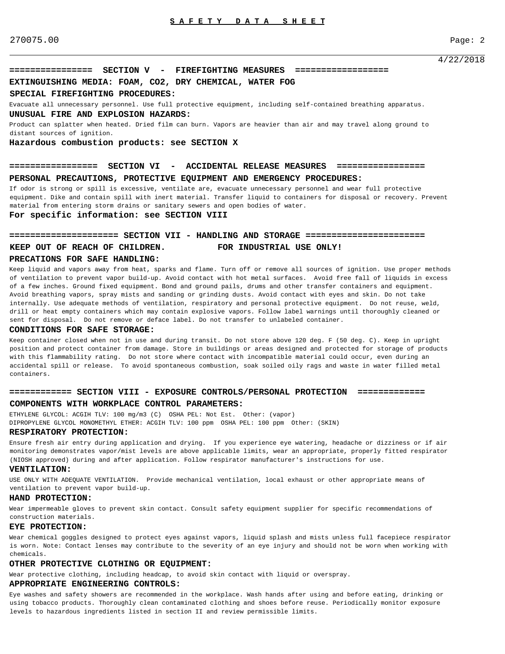# **================ SECTION V - FIREFIGHTING MEASURES ==================**

# **EXTINGUISHING MEDIA: FOAM, CO2, DRY CHEMICAL, WATER FOG**

# **SPECIAL FIREFIGHTING PROCEDURES:**

Evacuate all unnecessary personnel. Use full protective equipment, including self-contained breathing apparatus.

### **UNUSUAL FIRE AND EXPLOSION HAZARDS:**

Product can splatter when heated. Dried film can burn. Vapors are heavier than air and may travel along ground to distant sources of ignition.

#### **Hazardous combustion products: see SECTION X**

# **================= SECTION VI - ACCIDENTAL RELEASE MEASURES ================= PERSONAL PRECAUTIONS, PROTECTIVE EQUIPMENT AND EMERGENCY PROCEDURES:**

If odor is strong or spill is excessive, ventilate are, evacuate unnecessary personnel and wear full protective equipment. Dike and contain spill with inert material. Transfer liquid to containers for disposal or recovery. Prevent material from entering storm drains or sanitary sewers and open bodies of water.

#### **For specific information: see SECTION VIII**

#### **===================== SECTION VII - HANDLING AND STORAGE =======================**

# **KEEP OUT OF REACH OF CHILDREN. FOR INDUSTRIAL USE ONLY!**

#### **PRECATIONS FOR SAFE HANDLING:**

Keep liquid and vapors away from heat, sparks and flame. Turn off or remove all sources of ignition. Use proper methods of ventilation to prevent vapor build-up. Avoid contact with hot metal surfaces. Avoid free fall of liquids in excess of a few inches. Ground fixed equipment. Bond and ground pails, drums and other transfer containers and equipment. Avoid breathing vapors, spray mists and sanding or grinding dusts. Avoid contact with eyes and skin. Do not take internally. Use adequate methods of ventilation, respiratory and personal protective equipment. Do not reuse, weld, drill or heat empty containers which may contain explosive vapors. Follow label warnings until thoroughly cleaned or sent for disposal. Do not remove or deface label. Do not transfer to unlabeled container.

#### **CONDITIONS FOR SAFE STORAGE:**

Keep container closed when not in use and during transit. Do not store above 120 deg. F (50 deg. C). Keep in upright position and protect container from damage. Store in buildings or areas designed and protected for storage of products with this flammability rating. Do not store where contact with incompatible material could occur, even during an accidental spill or release. To avoid spontaneous combustion, soak soiled oily rags and waste in water filled metal containers.

# **============ SECTION VIII - EXPOSURE CONTROLS/PERSONAL PROTECTION =============**

# **COMPONENTS WITH WORKPLACE CONTROL PARAMETERS:**

ETHYLENE GLYCOL: ACGIH TLV: 100 mg/m3 (C) OSHA PEL: Not Est. Other: (vapor) DIPROPYLENE GLYCOL MONOMETHYL ETHER: ACGIH TLV: 100 ppm OSHA PEL: 100 ppm Other: (SKIN)

#### **RESPIRATORY PROTECTION:**

Ensure fresh air entry during application and drying. If you experience eye watering, headache or dizziness or if air monitoring demonstrates vapor/mist levels are above applicable limits, wear an appropriate, properly fitted respirator (NIOSH approved) during and after application. Follow respirator manufacturer's instructions for use.

#### **VENTILATION:**

USE ONLY WITH ADEQUATE VENTILATION. Provide mechanical ventilation, local exhaust or other appropriate means of ventilation to prevent vapor build-up.

#### **HAND PROTECTION:**

Wear impermeable gloves to prevent skin contact. Consult safety equipment supplier for specific recommendations of construction materials.

# **EYE PROTECTION:**

Wear chemical goggles designed to protect eyes against vapors, liquid splash and mists unless full facepiece respirator is worn. Note: Contact lenses may contribute to the severity of an eye injury and should not be worn when working with chemicals.

## **OTHER PROTECTIVE CLOTHING OR EQUIPMENT:**

Wear protective clothing, including headcap, to avoid skin contact with liquid or overspray.

# **APPROPRIATE ENGINEERING CONTROLS:**

Eye washes and safety showers are recommended in the workplace. Wash hands after using and before eating, drinking or using tobacco products. Thoroughly clean contaminated clothing and shoes before reuse. Periodically monitor exposure levels to hazardous ingredients listed in section II and review permissible limits.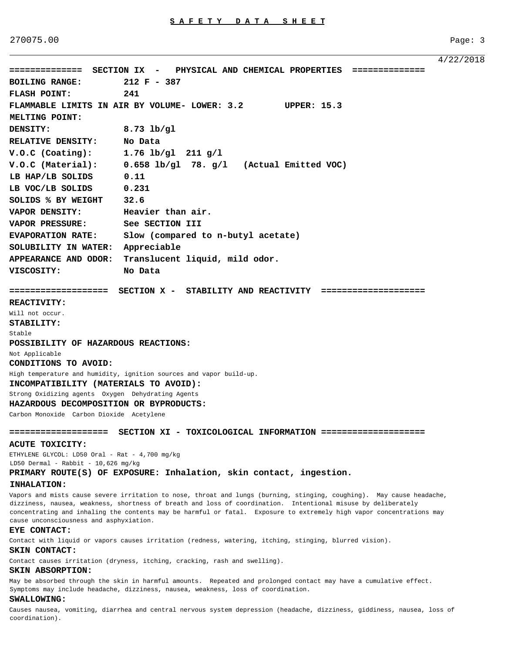270075.00 Page: 3

4/22/2018 **============== SECTION IX - PHYSICAL AND CHEMICAL PROPERTIES ============== BOILING RANGE: 212 F - 387 FLASH POINT: 241 FLAMMABLE LIMITS IN AIR BY VOLUME- LOWER: 3.2 UPPER: 15.3 MELTING POINT: DENSITY: 8.73 lb/gl RELATIVE DENSITY: No Data V.O.C (Coating): 1.76 lb/gl 211 g/l V.O.C (Material): 0.658 lb/gl 78. g/l (Actual Emitted VOC) LB HAP/LB SOLIDS 0.11 LB VOC/LB SOLIDS 0.231 SOLIDS % BY WEIGHT 32.6 VAPOR DENSITY: Heavier than air. VAPOR PRESSURE: See SECTION III EVAPORATION RATE: Slow (compared to n-butyl acetate) SOLUBILITY IN WATER: Appreciable APPEARANCE AND ODOR: Translucent liquid, mild odor. VISCOSITY: No Data =================== SECTION X - STABILITY AND REACTIVITY ==================== REACTIVITY:** Will not occur. **STABILITY:** Stable **POSSIBILITY OF HAZARDOUS REACTIONS:** Not Applicable **CONDITIONS TO AVOID:** High temperature and humidity, ignition sources and vapor build-up. **INCOMPATIBILITY (MATERIALS TO AVOID):** Strong Oxidizing agents Oxygen Dehydrating Agents **HAZARDOUS DECOMPOSITION OR BYPRODUCTS:** Carbon Monoxide Carbon Dioxide Acetylene **=================== SECTION XI - TOXICOLOGICAL INFORMATION ==================== ACUTE TOXICITY:** ETHYLENE GLYCOL: LD50 Oral - Rat - 4,700 mg/kg

LD50 Dermal - Rabbit - 10,626 mg/kg

# **PRIMARY ROUTE(S) OF EXPOSURE: Inhalation, skin contact, ingestion.**

## **INHALATION:**

Vapors and mists cause severe irritation to nose, throat and lungs (burning, stinging, coughing). May cause headache, dizziness, nausea, weakness, shortness of breath and loss of coordination. Intentional misuse by deliberately concentrating and inhaling the contents may be harmful or fatal. Exposure to extremely high vapor concentrations may cause unconsciousness and asphyxiation.

# **EYE CONTACT:**

Contact with liquid or vapors causes irritation (redness, watering, itching, stinging, blurred vision).

#### **SKIN CONTACT:**

Contact causes irritation (dryness, itching, cracking, rash and swelling).

# **SKIN ABSORPTION:**

May be absorbed through the skin in harmful amounts. Repeated and prolonged contact may have a cumulative effect. Symptoms may include headache, dizziness, nausea, weakness, loss of coordination.

#### **SWALLOWING:**

Causes nausea, vomiting, diarrhea and central nervous system depression (headache, dizziness, giddiness, nausea, loss of coordination).